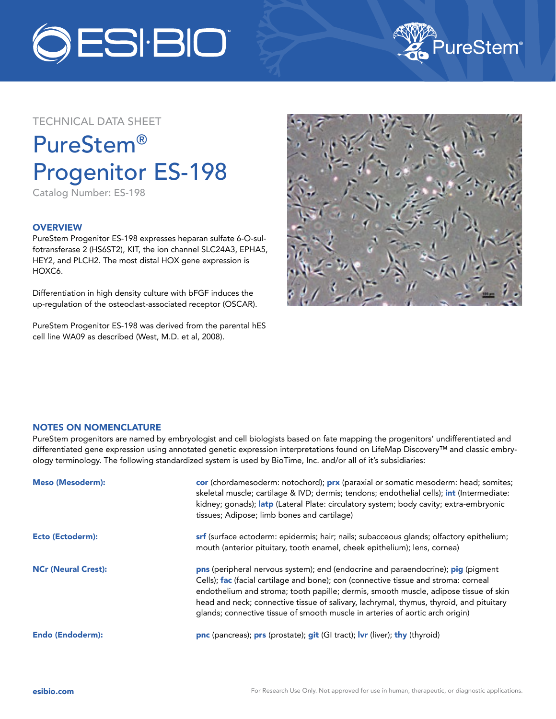



## TECHNICAL DATA SHEET

# PureStem® Progenitor ES-198

Catalog Number: ES-198

### **OVERVIEW**

PureStem Progenitor ES-198 expresses heparan sulfate 6-O-sulfotransferase 2 (HS6ST2), KIT, the ion channel SLC24A3, EPHA5, HEY2, and PLCH2. The most distal HOX gene expression is HOXC6.

Differentiation in high density culture with bFGF induces the up-regulation of the osteoclast-associated receptor (OSCAR).

PureStem Progenitor ES-198 was derived from the parental hES cell line WA09 as described (West, M.D. et al, 2008).



#### NOTES ON NOMENCLATURE

PureStem progenitors are named by embryologist and cell biologists based on fate mapping the progenitors' undifferentiated and differentiated gene expression using annotated genetic expression interpretations found on LifeMap Discovery™ and classic embryology terminology. The following standardized system is used by BioTime, Inc. and/or all of it's subsidiaries:

| <b>Meso (Mesoderm):</b>    | cor (chordamesoderm: notochord); prx (paraxial or somatic mesoderm: head; somites;<br>skeletal muscle; cartilage & IVD; dermis; tendons; endothelial cells); int (Intermediate:<br>kidney; gonads); latp (Lateral Plate: circulatory system; body cavity; extra-embryonic<br>tissues; Adipose; limb bones and cartilage)                                                                                                                    |
|----------------------------|---------------------------------------------------------------------------------------------------------------------------------------------------------------------------------------------------------------------------------------------------------------------------------------------------------------------------------------------------------------------------------------------------------------------------------------------|
| <b>Ecto (Ectoderm):</b>    | srf (surface ectoderm: epidermis; hair; nails; subacceous glands; olfactory epithelium;<br>mouth (anterior pituitary, tooth enamel, cheek epithelium); lens, cornea)                                                                                                                                                                                                                                                                        |
| <b>NCr (Neural Crest):</b> | pns (peripheral nervous system); end (endocrine and paraendocrine); pig (pigment<br>Cells); fac (facial cartilage and bone); con (connective tissue and stroma: corneal<br>endothelium and stroma; tooth papille; dermis, smooth muscle, adipose tissue of skin<br>head and neck; connective tissue of salivary, lachrymal, thymus, thyroid, and pituitary<br>glands; connective tissue of smooth muscle in arteries of aortic arch origin) |
| <b>Endo (Endoderm):</b>    | pnc (pancreas); prs (prostate); git (GI tract); Ivr (liver); thy (thyroid)                                                                                                                                                                                                                                                                                                                                                                  |